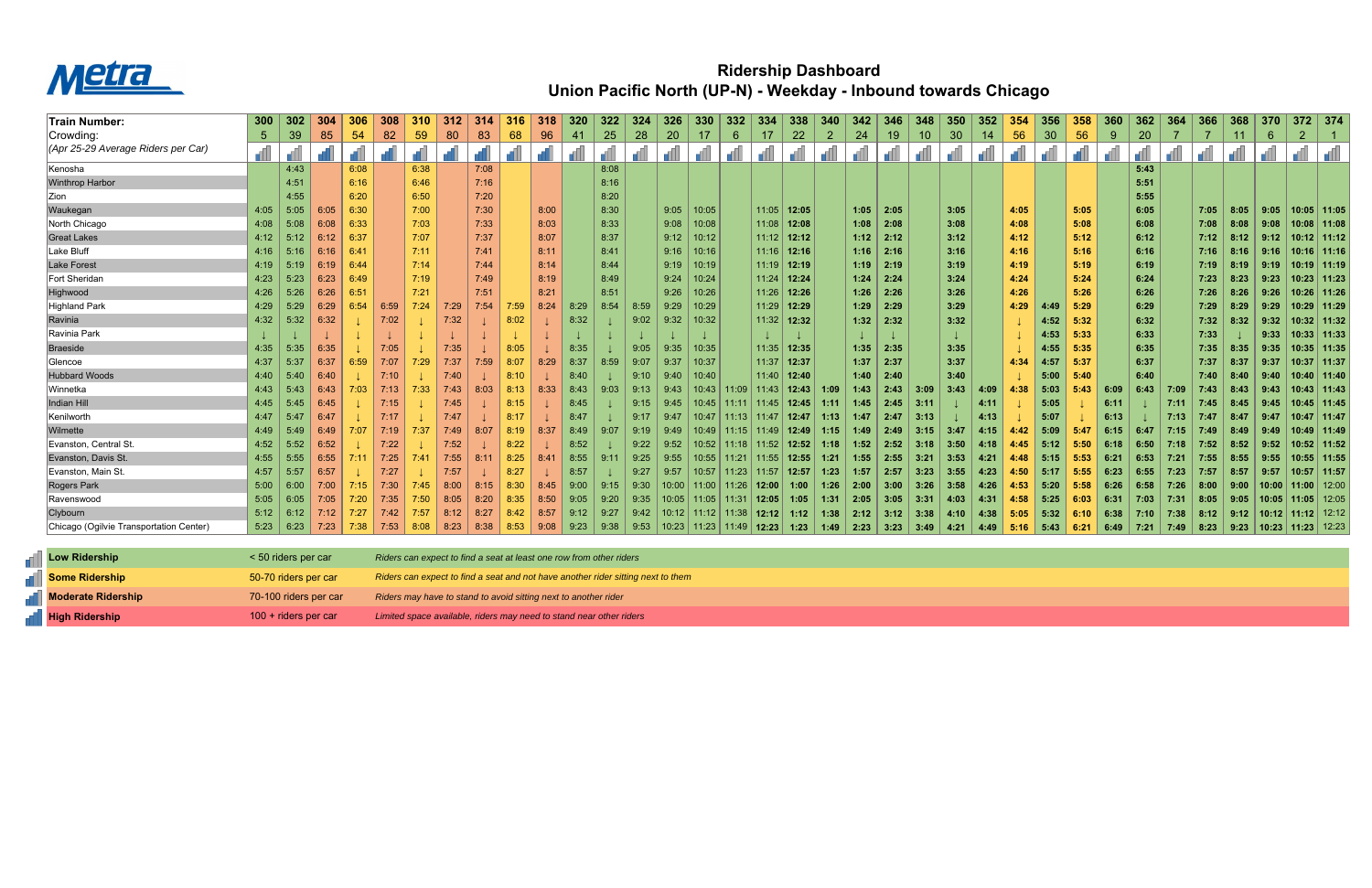

## **Ridership Dashboard Union Pacific North (UP-N) - Weekday - Inbound towards Chicago**

| Train Number:                           | 300  | 302                   | 304  |      | 308  |      | -312 | 314  | 316                                                                 | 318  | 320  | 322  | 324  | 326   | 330   | 332             | 334   | 338             |      | 342  |      |       | 350  | 352   | 354  | 356     | 358     | 360  | 362  | 364  | 366  | 368   | 370   | $372$ 374       |
|-----------------------------------------|------|-----------------------|------|------|------|------|------|------|---------------------------------------------------------------------|------|------|------|------|-------|-------|-----------------|-------|-----------------|------|------|------|-------|------|-------|------|---------|---------|------|------|------|------|-------|-------|-----------------|
| Crowding:                               | -5   | 39                    | 85   | 54   | 82   | 59   | 80   | 83   | 68                                                                  | 96   | 41   | 25   | 28   | 20    | 17    | 6               | 17    | 22              | 2    | 24   | 19   | 10    | 30   | 14    | 56   | 30      | 56      | 9    | 20   |      |      | 11    | 6     |                 |
| (Apr 25-29 Average Riders per Car)      |      |                       |      |      |      |      |      |      |                                                                     |      |      |      |      |       |       |                 |       |                 |      |      |      |       |      |       |      |         |         |      |      |      |      |       |       |                 |
| Kenosha                                 |      | 4:43                  |      | 6:08 |      | 6:38 |      | 7:08 |                                                                     |      |      | 8:08 |      |       |       |                 |       |                 |      |      |      |       |      |       |      |         |         |      | 5:43 |      |      |       |       |                 |
| <b>Winthrop Harbor</b>                  |      | 4:51                  |      | 6:16 |      | 6:46 |      | 7:16 |                                                                     |      |      | 8:16 |      |       |       |                 |       |                 |      |      |      |       |      |       |      |         |         |      | 5:51 |      |      |       |       |                 |
| Zion                                    |      | 4:55                  |      | 6:20 |      | 6:50 |      | 7:20 |                                                                     |      |      | 8:20 |      |       |       |                 |       |                 |      |      |      |       |      |       |      |         |         |      | 5:55 |      |      |       |       |                 |
| Waukegan                                | 4:05 | 5:05                  | 6:05 | 6:30 |      | 7:00 |      | 7:30 |                                                                     | 8:00 |      | 8:30 |      | 9:05  | 10:05 |                 |       | $11:05$   12:05 |      | 1:05 | 2:05 |       | 3:05 |       | 4:05 |         | 5:05    |      | 6:05 |      | 7:05 | 8:05  | 9:05  | 10:05   11:05   |
| North Chicago                           | 4:08 | 5:08                  | 6:08 | 6:33 |      | 7:03 |      | 7:33 |                                                                     | 8:03 |      | 8:33 |      | 9:08  | 10:08 |                 | 11:08 | 12:08           |      | 1:08 | 2:08 |       | 3:08 |       | 4:08 |         | 5:08    |      | 6:08 |      | 7:08 | 8:08  | 9:08  | $10:08$   11:08 |
| <b>Great Lakes</b>                      | 4:12 | 5:12                  | 6:12 | 6:37 |      | 7:07 |      | 7:37 |                                                                     | 8:07 |      | 8:37 |      | 9:12  | 10:12 |                 | 11:12 | 12:12           |      | 1:12 | 2:12 |       | 3:12 |       | 4:12 |         | 5:12    |      | 6:12 |      | 7:12 | 8:12  | 9:12  | $10:12$   11:12 |
| Lake Bluff                              | 4:16 | 5:16                  | 6:16 | 6:41 |      | 7:11 |      | 7:41 |                                                                     | 8:11 |      | 8:41 |      | 9:16  | 10:16 |                 | 11:16 | 12:16           |      | 1:16 | 2:16 |       | 3:16 |       | 4:16 |         | 5:16    |      | 6:16 |      | 7:16 | 8:16  | 9:16  | $10:16$   11:16 |
| Lake Forest                             | 4:19 | 5:19                  | 6:19 | 6:44 |      | 7:14 |      | 7:44 |                                                                     | 8:14 |      | 8:44 |      | 9:19  | 10:19 |                 | 11:19 | 12:19           |      | 1:19 | 2:19 |       | 3:19 |       | 4:19 |         | 5:19    |      | 6:19 |      | 7:19 | 8:19  | 9:19  | $10:19$   11:19 |
| Fort Sheridan                           | 4:23 | 5:23                  | 6:23 | 6:49 |      | 7:19 |      | 7:49 |                                                                     | 8:19 |      | 8:49 |      | 9:24  | 10:24 |                 | 11:24 | 12:24           |      | 1:24 | 2:24 |       | 3:24 |       | 4:24 |         | 5:24    |      | 6:24 |      | 7:23 | 8:23  | 9:23  | 10:23 11:23     |
| Highwood                                | 4:26 | 5:26                  | 6:26 | 6:51 |      | 7:21 |      | 7:51 |                                                                     | 8:21 |      | 8:51 |      | 9:26  | 10:26 |                 | 11:26 | 12:26           |      | 1:26 | 2:26 |       | 3:26 |       | 4:26 |         | 5:26    |      | 6:26 |      | 7:26 | 8:26  | 9:26  | 10:26   11:26   |
| Highland Park                           | 4:29 | 5:29                  | 6:29 | 6:54 | 6:59 | 7:24 | 7:29 | 7:54 | 7:59                                                                | 8:24 | 8:29 | 8:54 | 8:59 | 9:29  | 10:29 |                 | 11:29 | 12:29           |      | 1:29 | 2:29 |       | 3:29 |       | 4:29 | 4:49    | 5:29    |      | 6:29 |      | 7:29 | 8:29  | 9:29  | 10:29 11:29     |
| Ravinia                                 | 4:32 | 5:32                  | 6:32 |      | 7:02 |      | 7:32 |      |                                                                     |      | 8:32 |      | 9:02 | 9:32  | 10:32 |                 | 11:32 | 12:32           |      | 1:32 | 2:32 |       | 3:32 |       |      | 4:52    | 5:32    |      | 6:32 |      | 7:32 | 8:32  | 9:32  | $10:32$   11:32 |
| Ravinia Park                            |      |                       |      |      |      |      |      |      |                                                                     |      |      |      |      |       |       |                 |       |                 |      |      |      |       |      |       |      | 4:53    | 5:33    |      | 6:33 |      | 7:33 |       | 9:33  | 10:33   11:33   |
| Braeside                                | 4:35 | 5:35                  | 6:35 |      | 7:05 |      | 7:35 |      | 8:05                                                                |      | 8:35 |      | 9:05 | 9:35  | 10:35 |                 | 11:35 | 12:35           |      | 1:35 | 2:35 |       | 3:35 |       |      | 4:55    | 5:35    |      | 6:35 |      | 7:35 | 8:35  | 9:35  | 10:35   11:35   |
| Glencoe                                 | 4:37 | 5:37                  | 6:37 | 6:59 | 7:07 | 7:29 | 7:37 | 7:59 | 8:07                                                                | 8:29 | 8:37 | 8:59 | 9:07 | 9:37  | 10:37 |                 | 11:37 | 12:37           |      | 1:37 | 2:37 |       | 3:37 |       | 4:34 | 4:57    | $-5:37$ |      | 6:37 |      | 7:37 | 8:37  | 9:37  | 10:37   11:37   |
| <b>Hubbard Woods</b>                    | 4:40 | 5:40                  | 6:40 |      |      |      | 7:40 |      | 8:10                                                                |      | 8:40 |      | 9:10 | 9:40  | 10:40 |                 | 11:40 | 12:40           |      | 1:40 | 2:40 |       | 3:40 |       |      | 5:00    | 5:40    |      | 6:40 |      | 7:40 | 8:40  | 9:40  | 10:40   11:40   |
| IWinnetka                               | 4:43 | 5:43                  | 6:43 | 7.03 | 7:13 | 7:33 | 7:43 | 8:03 | 8:13                                                                | 8:33 | 8:43 | 9:03 | 9:13 | 9:43  | 10:43 | 11:09           | 11:43 | 12:43           | 1:09 | 1:43 | 2:43 | -3:09 | 3:43 | 4:09  | 4:38 | 5:03    | $-5:43$ | 6:09 | 6:43 | 7:09 | 7:43 | -8:43 | 9:43  | 10:43   11:43   |
| Indian Hill                             | 4:45 | 5:45                  | 6:45 |      | 7:15 |      | 7:45 |      | 8:15                                                                |      | 8:45 |      | 9:15 | 9:45  | 10:45 |                 | 11:45 | 12:45           | 1:11 | 1:45 | 2:45 | 3:11  |      | 4:11  |      | 5:05    |         | 6:11 |      | 7:11 | 7:45 | 8:45  | 9:45  | 10:45   11:45   |
| Kenilworth                              | 4:47 | 5:4                   | 6:47 |      |      |      | 7:47 |      | 8:17                                                                |      | 8:47 |      | 9:17 | 9:47  | 10:47 | 11:13           | 11:47 | 12:47           | 1:13 | 1:47 | 2:47 | -3:13 |      | 4:13  |      | 5:07    |         | 6:13 |      | 7:13 | 7:47 | 8:47  | 9:47  | 10:47   11:47   |
| Wilmette                                | 4:49 | 5:49                  | 6:49 | 7:07 | 7:19 | 7:37 | 7:49 | 8:07 | 8:19                                                                | 8:37 | 8:49 | 9:07 | 9:19 | 9:49  | 10:49 | 11:15           | 11:49 | 12:49           | 1:15 | 1:49 | 2:49 | 3:15  | 3:47 | 4:15  | 4:42 | 5:09    | 5:47    | 6:15 | 6:47 | 7:15 | 7:49 | 8:49  | 9:49  | 10:49   11:49   |
| Evanston, Central St.                   | 4:52 | 5:52                  | 6:52 |      | 7:22 |      | 7:52 |      | 8:22                                                                |      | 8:52 |      | 9:22 | 9:52  | 10:52 | 11:18 I         | 11:52 | 12:52           | 1:18 | 1:52 | 2:52 | 3:18  | 3:50 | -4:18 | 4:45 | 5:12    | $-5:50$ | 6:18 | 6:50 | 7:18 | 7:52 | 8:52  | 9:52  | 10:52   11:52   |
| Evanston, Davis St.                     | 4:55 | 5:55                  | 6:55 |      | 7:25 | 7:41 | 7:55 | 8:11 | 8:25                                                                | 8:41 | 8:55 | 9:11 | 9:25 | 9:55  | 10:55 | 11:21           | 11:55 | 12:55           | 1:21 | 1:55 | 2:55 | 3:21  | 3:53 | 4:21  | 4:48 | $-5:15$ | 5:53    | 6:21 | 6:53 | 7:21 | 7:55 | 8:55  | 9:55  | 10:55   11:55   |
| Evanston, Main St.                      | 4:57 | 5:57                  | 6:57 |      | 7:27 |      | 7:57 |      | 8:27                                                                |      | 8:57 |      | 9:27 | 9:57  | 10:57 | 11:23           | 11:57 | 12:57           | 1:23 | 1:57 | 2:57 | 3:23  | 3:55 | 4:23  | 4:50 | 5:17    | 5:55    | 6:23 | 6:55 | 7:23 | 7:57 | 8:57  | 9:57  | $10:57$   11:57 |
| Rogers Park                             | 5:00 | 6:00                  | 7:00 |      | 7:30 | 7:45 | 8:00 | 8:15 | 8:30                                                                | 8:45 | 9:00 | 9:15 | 9:30 | 10:00 | 11:00 | 11:26           | 12:00 | 1:00            | 1:26 | 2:00 | 3:00 | 3:26  | 3:58 | 4:26  | 4:53 | 5:20    | $-5:58$ | 6:26 | 6:58 | 7:26 | 8:00 | 9:00  | 10:00 | 11:00 $12:00$   |
| Ravenswood                              | 5:05 | 6:05                  | 7:05 | 7:20 | 7:35 | 7:50 | 8:05 | 8:20 | 8:35                                                                | 8:50 | 9:05 | 9:20 | 9:35 | 10:05 | 11:05 | 11:31           | 12:05 | 1:05            | 1:31 | 2:05 | 3:05 | -3:31 | 4:03 | 4:31  | 4:58 | 5:25    | 6:03    | 6:31 | 7:03 | 7:31 | 8:05 | 9:05  | 10:05 | $11:05$   12:05 |
| Clybourn                                | 5:12 | 6:12                  | 7:12 | 7:27 | 7:42 | 7:57 | 8:12 | 8:27 | 8:42                                                                | 8:57 | 9:12 | 9:27 | 9:42 | 10:12 |       | $11:12$   11:38 | 12:12 | 1:12            | 1:38 | 2:12 | 3:12 | 3:38  | 4:10 | 4:38  | 5:05 | 5:32    | 6:10    | 6:38 | 7:10 | 7:38 | 8:12 | 9:12  | 10:12 | $11:12$ 12:12   |
| Chicago (Ogilvie Transportation Center) | 5:23 | 6:23                  | 7:23 | 7:38 | 7:53 | 8:08 | 8:23 | 8:38 | 8:53                                                                | 9:08 | 9:23 | 9:38 | 9:53 | 10:23 | 11:23 | 11:49           | 12:23 | 1:23            | 1:49 | 2:23 | 3:23 | 3:49  | 4:21 | 4:49  | 5:16 | 5:43    | 6:21    | 6:49 | 7:21 | 7:49 | 8:23 | 9:23  | 10:23 | $11:23$   12:23 |
| <b>Low Ridership</b>                    |      | $< 50$ riders ner car |      |      |      |      |      |      | Riders can expect to find a seat at least one row from other riders |      |      |      |      |       |       |                 |       |                 |      |      |      |       |      |       |      |         |         |      |      |      |      |       |       |                 |

| <b>Now Ridership</b>          | < 50 riders per car    | Riders can expect to find a seat at least one row from other riders              |
|-------------------------------|------------------------|----------------------------------------------------------------------------------|
| <sub>∎</sub> ∏ Some Ridership | 50-70 riders per car   | Riders can expect to find a seat and not have another rider sitting next to them |
| <b>Noderate Ridership</b>     | 70-100 riders per car  | Riders may have to stand to avoid sitting next to another rider                  |
| <b>TERETA High Ridership</b>  | $100 +$ riders per car | Limited space available, riders may need to stand near other riders              |